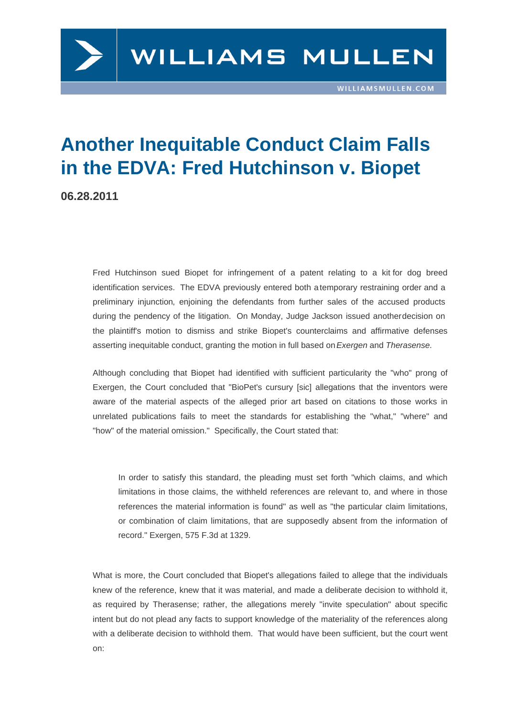## Another Inequitable Conduct Claim Falls in the EDVA: Fred Hutchinson v. Biopet

06.28.2011

Fred Hutchinson sued Biopet for infringement of a patent relating to a kit for dog breed identification services. The EDVA previously entered both a temporary restraining order and a preliminary injunction, enjoining the defendants from further sales of the accused products during the pendency of the litigation. On Monday, Judge Jackson issued another decision on the plaintiff's motion to dismiss and strike Biopet's count[erclaims and affirmative de](https://www.williamsmullen.com/files/Uploads/Documents/TRO.pdf)fenses [asserting inequitable c](https://www.williamsmullen.com/files/Uploads/Documents/pat6473405[1].pdf)onduct, granting the motion in full based on Exergen and Therasense.

Although concluding that Biopet had identified with sufficient particularity the "who" prong of Exergen, the Court concluded that "BioPet's cursury [sic] allegations that the inventors were aware of the material aspects of the alleged prior art based on citations to those works in unrelated publications fails to meet the standards for establishing the "what," "where" and "how" of the material omission." Specifically, the Court stated that:

In order to satisfy this standard, the pleading must set forth "which claims, and which limitations in those claims, the withheld references are relevant to, and where in those references the material information is found" as well as "the particular claim limitations, or combination of claim limitations, that are supposedly absent from the information of record." Exergen, 575 F.3d at 1329.

What is more, the Court concluded that Biopet's allegations failed to allege that the individuals knew of the reference, knew that it was material, and made a deliberate decision to withhold it, as required by Therasense; rather, the allegations merely "invite speculation" about specific intent but do not plead any facts to support knowledge of the materiality of the references along with a deliberate decision to withhold them. That would have been sufficient, but the court went on: